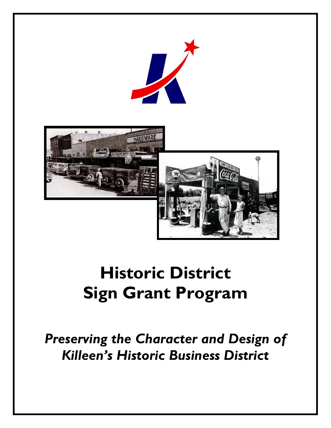



# **Historic District Sign Grant Program**

*Preserving the Character and Design of Killeen's Historic Business District*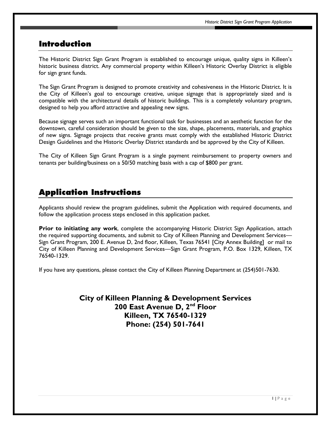#### Introduction

The Historic District Sign Grant Program is established to encourage unique, quality signs in Killeen's historic business district. Any commercial property within Killeen's Historic Overlay District is eligible for sign grant funds.

The Sign Grant Program is designed to promote creativity and cohesiveness in the Historic District. It is the City of Killeen's goal to encourage creative, unique signage that is appropriately sized and is compatible with the architectural details of historic buildings. This is a completely voluntary program, designed to help you afford attractive and appealing new signs.

Because signage serves such an important functional task for businesses and an aesthetic function for the downtown, careful consideration should be given to the size, shape, placements, materials, and graphics of new signs. Signage projects that receive grants must comply with the established Historic District Design Guidelines and the Historic Overlay District standards and be approved by the City of Killeen.

The City of Killeen Sign Grant Program is a single payment reimbursement to property owners and tenants per building/business on a 50/50 matching basis with a cap of \$800 per grant.

#### Application Instructions

Applicants should review the program guidelines, submit the Application with required documents, and follow the application process steps enclosed in this application packet.

**Prior to initiating any work**, complete the accompanying Historic District Sign Application, attach the required supporting documents, and submit to City of Killeen Planning and Development Services— Sign Grant Program, 200 E. Avenue D, 2nd floor, Killeen, Texas 76541 [City Annex Building] or mail to City of Killeen Planning and Development Services—Sign Grant Program, P.O. Box 1329, Killeen, TX 76540-1329.

If you have any questions, please contact the City of Killeen Planning Department at (254)501-7630.

**City of Killeen Planning & Development Services 200 East Avenue D, 2nd Floor Killeen, TX 76540-1329 Phone: (254) 501-7641**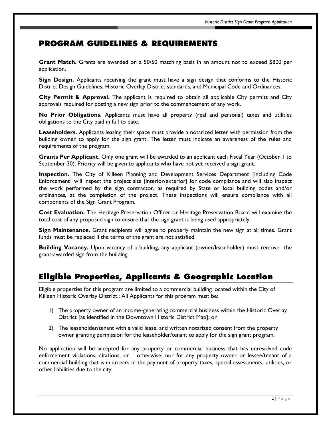### PROGRAM GUIDELINES & REQUIREMENTS

**Grant Match.** Grants are awarded on a 50/50 matching basis in an amount not to exceed \$800 per application.

**Sign Design.** Applicants receiving the grant must have a sign design that conforms to the Historic District Design Guidelines, Historic Overlay District standards, and Municipal Code and Ordinances.

**City Permit & Approval.** The applicant is required to obtain all applicable City permits and City approvals required for posting a new sign prior to the commencement of any work.

**No Prior Obligations.** Applicants must have all property (real and personal) taxes and utilities obligations to the City paid in full to date.

**Leaseholders.** Applicants leasing their space must provide a notarized letter with permission from the building owner to apply for the sign grant. The letter must indicate an awareness of the rules and requirements of the program.

**Grants Per Applicant.** Only one grant will be awarded to an applicant each Fiscal Year (October 1 to September 30). Priority will be given to applicants who have not yet received a sign grant.

**Inspection.** The City of Killeen Planning and Development Services Department [including Code Enforcement] will inspect the project site [interior/exterior] for code compliance and will also inspect the work performed by the sign contractor, as required by State or local building codes and/or ordinances, at the completion of the project. These inspections will ensure compliance with all components of the Sign Grant Program.

**Cost Evaluation.** The Heritage Preservation Officer or Heritage Preservation Board will examine the total cost of any proposed sign to ensure that the sign grant is being used appropriately.

**Sign Maintenance.** Grant recipients will agree to properly maintain the new sign at all times. Grant funds must be replaced if the terms of the grant are not satisfied.

**Building Vacancy.** Upon vacancy of a building, any applicant (owner/leaseholder) must remove the grant-awarded sign from the building.

#### Eligible Properties, Applicants & Geographic Location

Eligible properties for this program are limited to a commercial building located within the City of Killeen Historic Overlay District.; All Applicants for this program must be:

- 1) The property owner of an income-generating commercial business within the Historic Overlay District [as identified in the Downtown Historic District Map]; or
- 2) The leaseholder/tenant with a valid lease, and written notarized consent from the property owner granting permission for the leaseholder/tenant to apply for the sign grant program.

No application will be accepted for any property or commercial business that has unresolved code enforcement violations, citations, or otherwise; nor for any property owner or lessee/tenant of a commercial building that is in arrears in the payment of property taxes, special assessments, utilities, or other liabilities due to the city.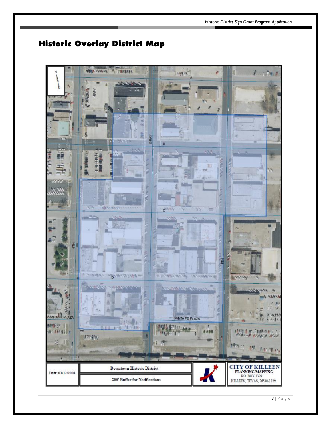## Historic Overlay District Map

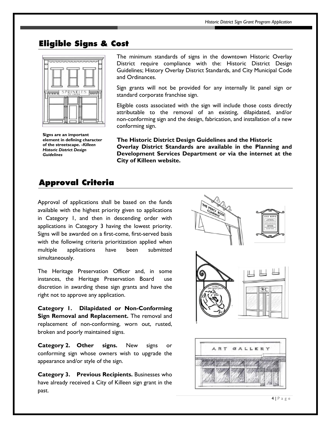#### Eligible Signs & Cost



**Signs are an important element in defining character of the streetscape. -***Killeen Historic District Design Guidelines* 

The minimum standards of signs in the downtown Historic Overlay District require compliance with the: Historic District Design Guidelines; History Overlay District Standards, and City Municipal Code and Ordinances.

Sign grants will not be provided for any internally lit panel sign or standard corporate franchise sign.

Eligible costs associated with the sign will include those costs directly attributable to the removal of an existing, dilapidated, and/or non-conforming sign and the design, fabrication, and installation of a new conforming sign.

**The Historic District Design Guidelines and the Historic Overlay District Standards are available in the Planning and Development Services Department or via the internet at the City of Killeen website.** 

#### Approval Criteria

Approval of applications shall be based on the funds available with the highest priority given to applications in Category 1, and then in descending order with applications in Category 3 having the lowest priority. Signs will be awarded on a first-come, first-served basis with the following criteria prioritization applied when multiple applications have been submitted simultaneously.

The Heritage Preservation Officer and, in some instances, the Heritage Preservation Board use discretion in awarding these sign grants and have the right not to approve any application.

**Category 1. Dilapidated or Non-Conforming Sign Removal and Replacement.** The removal and replacement of non-conforming, worn out, rusted, broken and poorly maintained signs.

**Category 2. Other signs.** New signs or conforming sign whose owners wish to upgrade the appearance and/or style of the sign.

**Category 3. Previous Recipients.** Businesses who have already received a City of Killeen sign grant in the past.



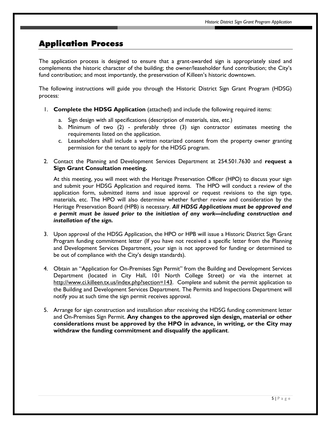#### Application Process

The application process is designed to ensure that a grant-awarded sign is appropriately sized and complements the historic character of the building; the owner/leaseholder fund contribution; the City's fund contribution; and most importantly, the preservation of Killeen's historic downtown.

The following instructions will guide you through the Historic District Sign Grant Program (HDSG) process:

- 1. **Complete the HDSG Application** (attached) and include the following required items:
	- a. Sign design with all specifications (description of materials, size, etc.)
	- b. Minimum of two (2) preferably three (3) sign contractor estimates meeting the requirements listed on the application.
	- c. Leaseholders shall include a written notarized consent from the property owner granting permission for the tenant to apply for the HDSG program.
- 2. Contact the Planning and Development Services Department at 254.501.7630 and **request a Sign Grant Consultation meeting.**

At this meeting, you will meet with the Heritage Preservation Officer (HPO) to discuss your sign and submit your HDSG Application and required items. The HPO will conduct a review of the application form, submitted items and issue approval or request revisions to the sign type, materials, etc. The HPO will also determine whether further review and consideration by the Heritage Preservation Board (HPB) is necessary. *All HDSG Applications must be approved and a permit must be issued prior to the initiation of any work—including construction and installation of the sign.*

- 3. Upon approval of the HDSG Application, the HPO or HPB will issue a Historic District Sign Grant Program funding commitment letter (If you have not received a specific letter from the Planning and Development Services Department, your sign is not approved for funding or determined to be out of compliance with the City's design standards).
- 4. Obtain an "Application for On-Premises Sign Permit" from the Building and Development Services Department (located in City Hall, 101 North College Street) or via the internet at [http://www.ci.killeen.tx.us/index.php?section=143.](http://www.ci.killeen.tx.us/index.php?section=143) Complete and submit the permit application to the Building and Development Services Department. The Permits and Inspections Department will notify you at such time the sign permit receives approval.
- 5. Arrange for sign construction and installation after receiving the HDSG funding commitment letter and On-Premises Sign Permit. **Any changes to the approved sign design, material or other considerations must be approved by the HPO in advance, in writing, or the City may withdraw the funding commitment and disqualify the applicant**.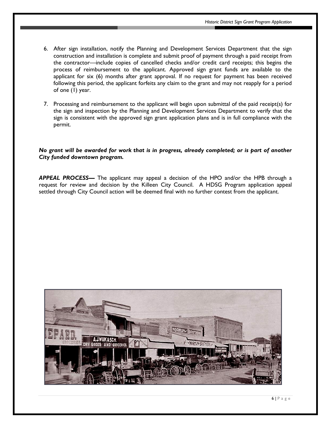- 6. After sign installation, notify the Planning and Development Services Department that the sign construction and installation is complete and submit proof of payment through a paid receipt from the contractor—include copies of cancelled checks and/or credit card receipts; this begins the process of reimbursement to the applicant. Approved sign grant funds are available to the applicant for six (6) months after grant approval. If no request for payment has been received following this period, the applicant forfeits any claim to the grant and may not reapply for a period of one (1) year.
- 7. Processing and reimbursement to the applicant will begin upon submittal of the paid receipt(s) for the sign and inspection by the Planning and Development Services Department to verify that the sign is consistent with the approved sign grant application plans and is in full compliance with the permit.

#### *No grant will be awarded for work that is in progress, already completed; or is part of another City funded downtown program.*

*APPEAL PROCESS—* The applicant may appeal a decision of the HPO and/or the HPB through a request for review and decision by the Killeen City Council. A HDSG Program application appeal settled through City Council action will be deemed final with no further contest from the applicant.